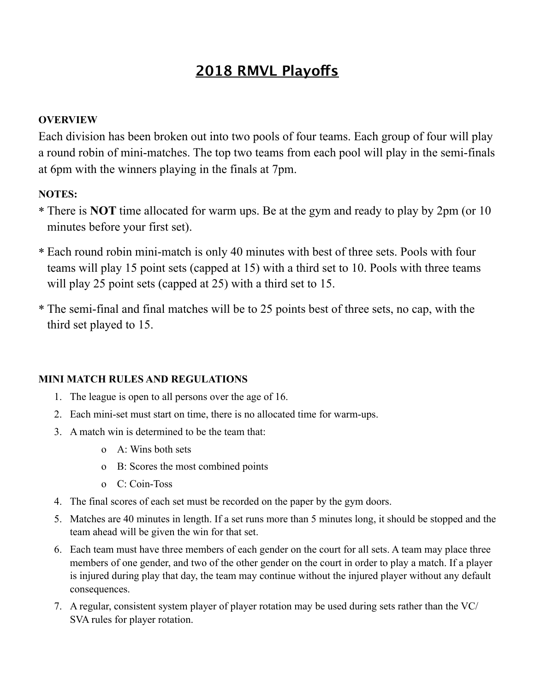### **2018 RMVL Playofs**

#### **OVERVIEW**

Each division has been broken out into two pools of four teams. Each group of four will play a round robin of mini-matches. The top two teams from each pool will play in the semi-finals at 6pm with the winners playing in the finals at 7pm.

#### **NOTES:**

- \* There is **NOT** time allocated for warm ups. Be at the gym and ready to play by 2pm (or 10 minutes before your first set).
- \* Each round robin mini-match is only 40 minutes with best of three sets. Pools with four teams will play 15 point sets (capped at 15) with a third set to 10. Pools with three teams will play 25 point sets (capped at 25) with a third set to 15.
- \* The semi-final and final matches will be to 25 points best of three sets, no cap, with the third set played to 15.

#### **MINI MATCH RULES AND REGULATIONS**

- 1. The league is open to all persons over the age of 16.
- 2. Each mini-set must start on time, there is no allocated time for warm-ups.
- 3. A match win is determined to be the team that:
	- o A: Wins both sets
	- o B: Scores the most combined points
	- o C: Coin-Toss
- 4. The final scores of each set must be recorded on the paper by the gym doors.
- 5. Matches are 40 minutes in length. If a set runs more than 5 minutes long, it should be stopped and the team ahead will be given the win for that set.
- 6. Each team must have three members of each gender on the court for all sets. A team may place three members of one gender, and two of the other gender on the court in order to play a match. If a player is injured during play that day, the team may continue without the injured player without any default consequences.
- 7. A regular, consistent system player of player rotation may be used during sets rather than the VC/ SVA rules for player rotation.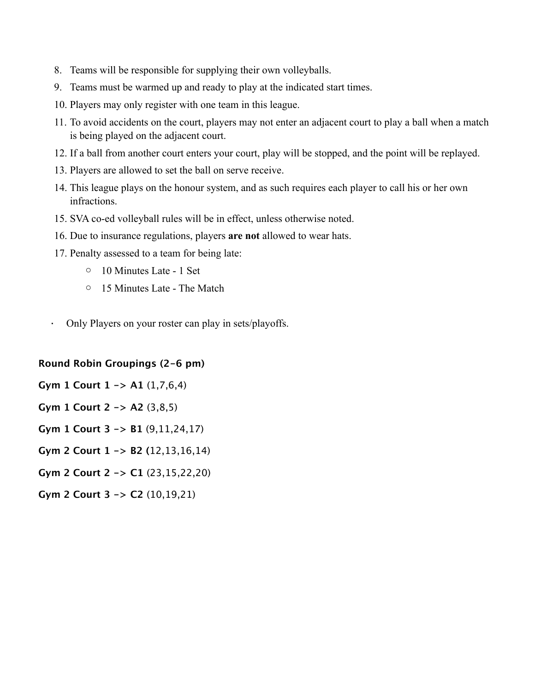- 8. Teams will be responsible for supplying their own volleyballs.
- 9. Teams must be warmed up and ready to play at the indicated start times.
- 10. Players may only register with one team in this league.
- 11. To avoid accidents on the court, players may not enter an adjacent court to play a ball when a match is being played on the adjacent court.
- 12. If a ball from another court enters your court, play will be stopped, and the point will be replayed.
- 13. Players are allowed to set the ball on serve receive.
- 14. This league plays on the honour system, and as such requires each player to call his or her own infractions.
- 15. SVA co-ed volleyball rules will be in effect, unless otherwise noted.
- 16. Due to insurance regulations, players **are not** allowed to wear hats.
- 17. Penalty assessed to a team for being late:
	- o 10 Minutes Late 1 Set
	- o 15 Minutes Late The Match
- · Only Players on your roster can play in sets/playoffs.

#### **Round Robin Groupings (2-6 pm)**

**Gym 1 Court 1 -> A1** (1,7,6,4)

- **Gym 1 Court 2 -> A2** (3,8,5)
- **Gym 1 Court 3 -> B1** (9,11,24,17)
- **Gym 2 Court 1 -> B2 (**12,13,16,14)
- **Gym 2 Court 2 -> C1** (23,15,22,20)
- **Gym 2 Court 3 -> C2** (10,19,21)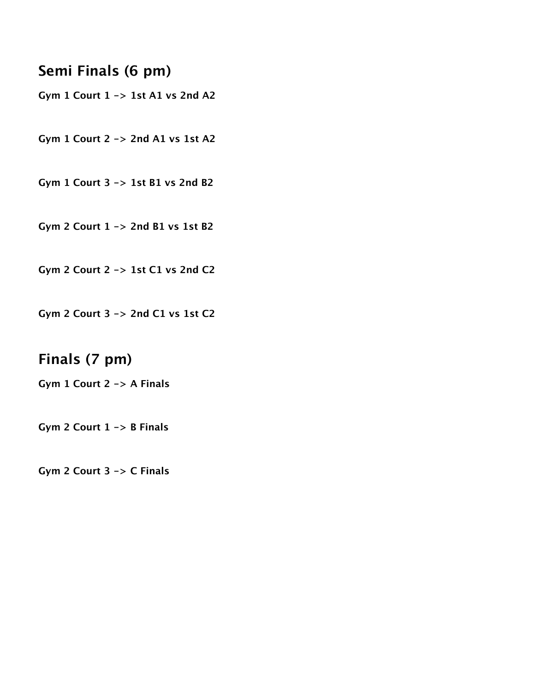#### **Semi Finals (6 pm)**

**Gym 1 Court 1 -> 1st A1 vs 2nd A2**

**Gym 1 Court 2 -> 2nd A1 vs 1st A2**

**Gym 1 Court 3 -> 1st B1 vs 2nd B2**

**Gym 2 Court 1 -> 2nd B1 vs 1st B2**

**Gym 2 Court 2 -> 1st C1 vs 2nd C2**

**Gym 2 Court 3 -> 2nd C1 vs 1st C2**

#### **Finals (7 pm)**

**Gym 1 Court 2 -> A Finals**

**Gym 2 Court 1 -> B Finals**

**Gym 2 Court 3 -> C Finals**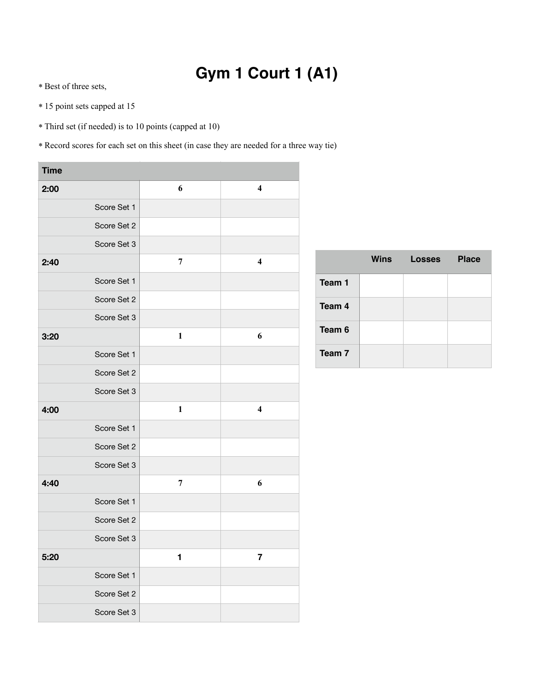## **Gym 1 Court 1 (A1)**

\* Best of three sets,

- \* 15 point sets capped at 15
- \* Third set (if needed) is to 10 points (capped at 10)

| <b>Time</b> |             |              |                         |
|-------------|-------------|--------------|-------------------------|
| 2:00        |             | 6            | $\overline{\mathbf{4}}$ |
|             | Score Set 1 |              |                         |
|             | Score Set 2 |              |                         |
|             | Score Set 3 |              |                         |
| 2:40        |             | 7            | $\overline{\mathbf{4}}$ |
|             | Score Set 1 |              |                         |
|             | Score Set 2 |              |                         |
|             | Score Set 3 |              |                         |
| 3:20        |             | $\mathbf{1}$ | 6                       |
|             | Score Set 1 |              |                         |
|             | Score Set 2 |              |                         |
|             | Score Set 3 |              |                         |
| 4:00        |             | $\mathbf{1}$ | $\overline{\mathbf{4}}$ |
|             | Score Set 1 |              |                         |
|             | Score Set 2 |              |                         |
|             | Score Set 3 |              |                         |
| 4:40        |             | 7            | 6                       |
|             | Score Set 1 |              |                         |
|             | Score Set 2 |              |                         |
|             | Score Set 3 |              |                         |
| 5:20        |             | 1,           | ſ                       |
|             | Score Set 1 |              |                         |
|             | Score Set 2 |              |                         |
|             | Score Set 3 |              |                         |

|        | <b>Wins</b> | <b>Losses</b> | <b>Place</b> |
|--------|-------------|---------------|--------------|
| Team 1 |             |               |              |
| Team 4 |             |               |              |
| Team 6 |             |               |              |
| Team 7 |             |               |              |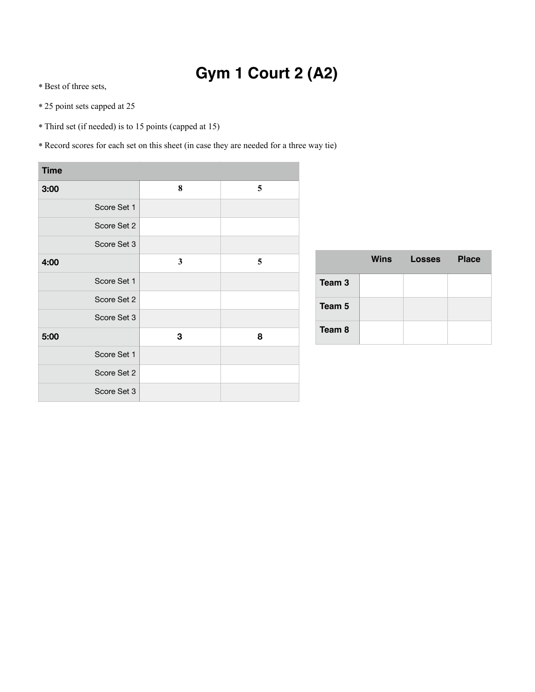# **Gym 1 Court 2 (A2)**

\* Best of three sets,

- \* 25 point sets capped at 25
- \* Third set (if needed) is to 15 points (capped at 15)

| <b>Time</b> |   |   |
|-------------|---|---|
| 3:00        | 8 | 5 |
| Score Set 1 |   |   |
| Score Set 2 |   |   |
| Score Set 3 |   |   |
| 4:00        | 3 | 5 |
| Score Set 1 |   |   |
| Score Set 2 |   |   |
| Score Set 3 |   |   |
| 5:00        | 3 | 8 |
| Score Set 1 |   |   |
| Score Set 2 |   |   |
| Score Set 3 |   |   |

|        | Wins | <b>Losses</b> | <b>Place</b> |
|--------|------|---------------|--------------|
| Team 3 |      |               |              |
| Team 5 |      |               |              |
| Team 8 |      |               |              |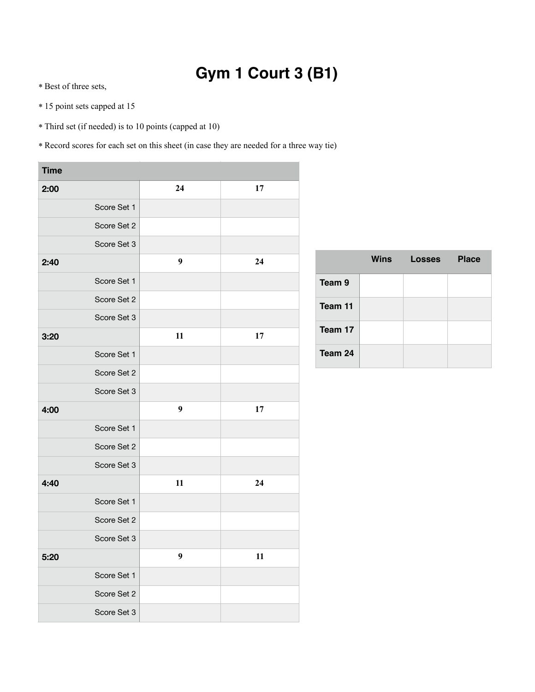## **Gym 1 Court 3 (B1)**

\* Best of three sets,

- \* 15 point sets capped at 15
- \* Third set (if needed) is to 10 points (capped at 10)

| <b>Time</b> |             |                  |    |
|-------------|-------------|------------------|----|
| 2:00        |             | 24               | 17 |
|             | Score Set 1 |                  |    |
|             | Score Set 2 |                  |    |
|             | Score Set 3 |                  |    |
| 2:40        |             | $\boldsymbol{9}$ | 24 |
|             | Score Set 1 |                  |    |
|             | Score Set 2 |                  |    |
|             | Score Set 3 |                  |    |
| 3:20        |             | 11               | 17 |
|             | Score Set 1 |                  |    |
|             | Score Set 2 |                  |    |
|             | Score Set 3 |                  |    |
| 4:00        |             | 9                | 17 |
|             | Score Set 1 |                  |    |
|             | Score Set 2 |                  |    |
|             | Score Set 3 |                  |    |
| 4:40        |             | 11               | 24 |
|             | Score Set 1 |                  |    |
|             | Score Set 2 |                  |    |
|             | Score Set 3 |                  |    |
| 5:20        |             | 9                | 11 |
|             | Score Set 1 |                  |    |
|             | Score Set 2 |                  |    |
|             | Score Set 3 |                  |    |

|         | <b>Wins</b> | <b>Losses</b> | <b>Place</b> |
|---------|-------------|---------------|--------------|
| Team 9  |             |               |              |
| Team 11 |             |               |              |
| Team 17 |             |               |              |
| Team 24 |             |               |              |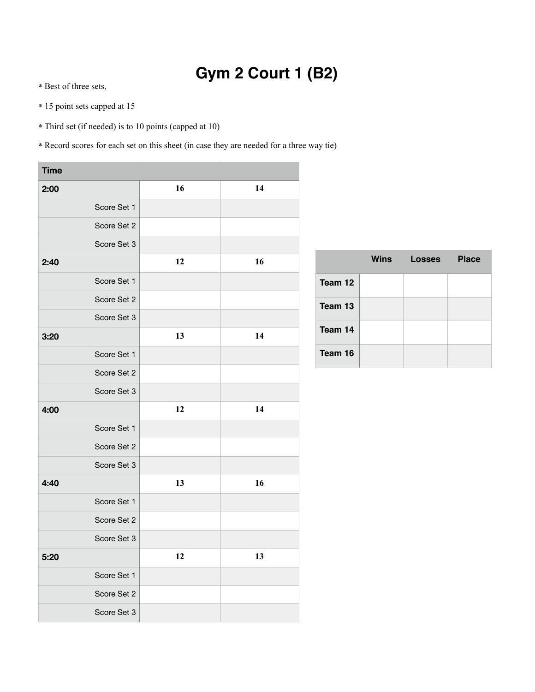## **Gym 2 Court 1 (B2)**

\* Best of three sets,

- \* 15 point sets capped at 15
- \* Third set (if needed) is to 10 points (capped at 10)

| <b>Time</b> |             |    |    |
|-------------|-------------|----|----|
| 2:00        |             | 16 | 14 |
|             | Score Set 1 |    |    |
|             | Score Set 2 |    |    |
|             | Score Set 3 |    |    |
| 2:40        |             | 12 | 16 |
|             | Score Set 1 |    |    |
|             | Score Set 2 |    |    |
|             | Score Set 3 |    |    |
| 3:20        |             | 13 | 14 |
|             | Score Set 1 |    |    |
|             | Score Set 2 |    |    |
|             | Score Set 3 |    |    |
| 4:00        |             | 12 | 14 |
|             | Score Set 1 |    |    |
|             | Score Set 2 |    |    |
|             | Score Set 3 |    |    |
| 4:40        |             | 13 | 16 |
|             | Score Set 1 |    |    |
|             | Score Set 2 |    |    |
|             | Score Set 3 |    |    |
| 5:20        |             | 12 | 13 |
|             | Score Set 1 |    |    |
|             | Score Set 2 |    |    |
|             | Score Set 3 |    |    |

|         | <b>Wins</b> | <b>Losses</b> | <b>Place</b> |
|---------|-------------|---------------|--------------|
| Team 12 |             |               |              |
| Team 13 |             |               |              |
| Team 14 |             |               |              |
| Team 16 |             |               |              |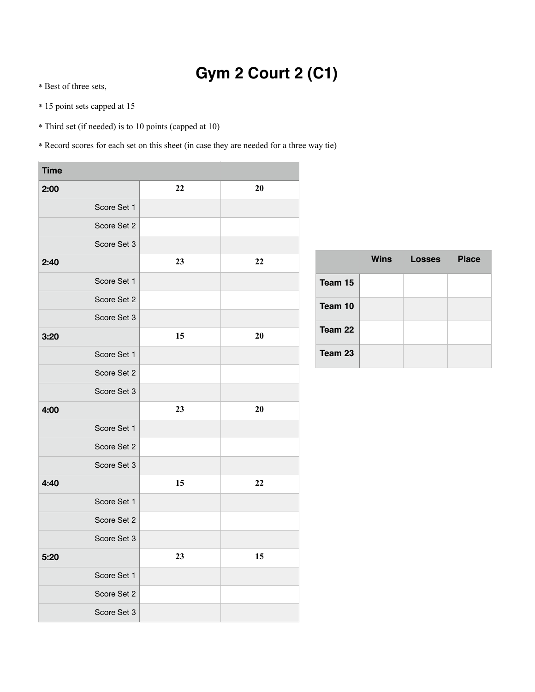## **Gym 2 Court 2 (C1)**

\* Best of three sets,

- \* 15 point sets capped at 15
- \* Third set (if needed) is to 10 points (capped at 10)

| <b>Time</b> |             |    |    |
|-------------|-------------|----|----|
| 2:00        |             | 22 | 20 |
|             | Score Set 1 |    |    |
|             | Score Set 2 |    |    |
|             | Score Set 3 |    |    |
| 2:40        |             | 23 | 22 |
|             | Score Set 1 |    |    |
|             | Score Set 2 |    |    |
|             | Score Set 3 |    |    |
| 3:20        |             | 15 | 20 |
|             | Score Set 1 |    |    |
|             | Score Set 2 |    |    |
|             | Score Set 3 |    |    |
| 4:00        |             | 23 | 20 |
|             | Score Set 1 |    |    |
|             | Score Set 2 |    |    |
|             | Score Set 3 |    |    |
| 4:40        |             | 15 | 22 |
|             | Score Set 1 |    |    |
|             | Score Set 2 |    |    |
|             | Score Set 3 |    |    |
| 5:20        |             | 23 | 15 |
|             | Score Set 1 |    |    |
|             | Score Set 2 |    |    |
|             | Score Set 3 |    |    |

|         | Wins | <b>Losses</b> | <b>Place</b> |
|---------|------|---------------|--------------|
| Team 15 |      |               |              |
| Team 10 |      |               |              |
| Team 22 |      |               |              |
| Team 23 |      |               |              |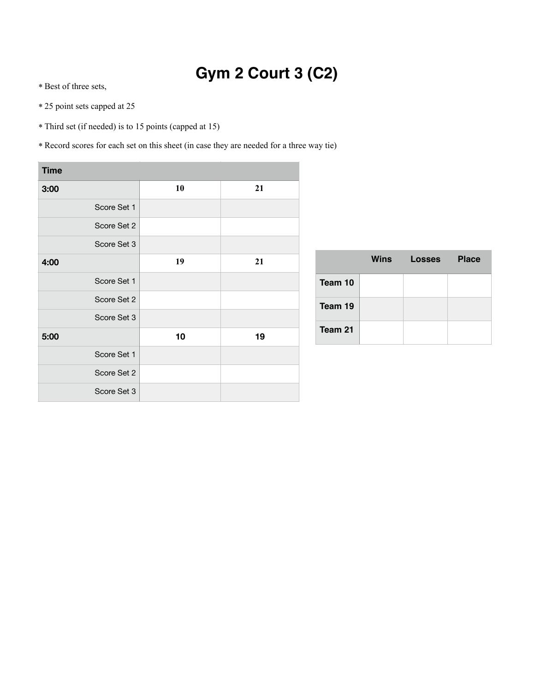## **Gym 2 Court 3 (C2)**

- \* Best of three sets,
- \* 25 point sets capped at 25
- \* Third set (if needed) is to 15 points (capped at 15)
- \* Record scores for each set on this sheet (in case they are needed for a three way tie)

| <b>Time</b> |             |    |    |
|-------------|-------------|----|----|
| 3:00        |             | 10 | 21 |
|             | Score Set 1 |    |    |
|             | Score Set 2 |    |    |
|             | Score Set 3 |    |    |
| 4:00        |             | 19 | 21 |
|             | Score Set 1 |    |    |
|             | Score Set 2 |    |    |
|             | Score Set 3 |    |    |
| 5:00        |             | 10 | 19 |
|             | Score Set 1 |    |    |
|             | Score Set 2 |    |    |
|             | Score Set 3 |    |    |

|         | Wins | Losses | <b>Place</b> |
|---------|------|--------|--------------|
| Team 10 |      |        |              |
| Team 19 |      |        |              |
| Team 21 |      |        |              |